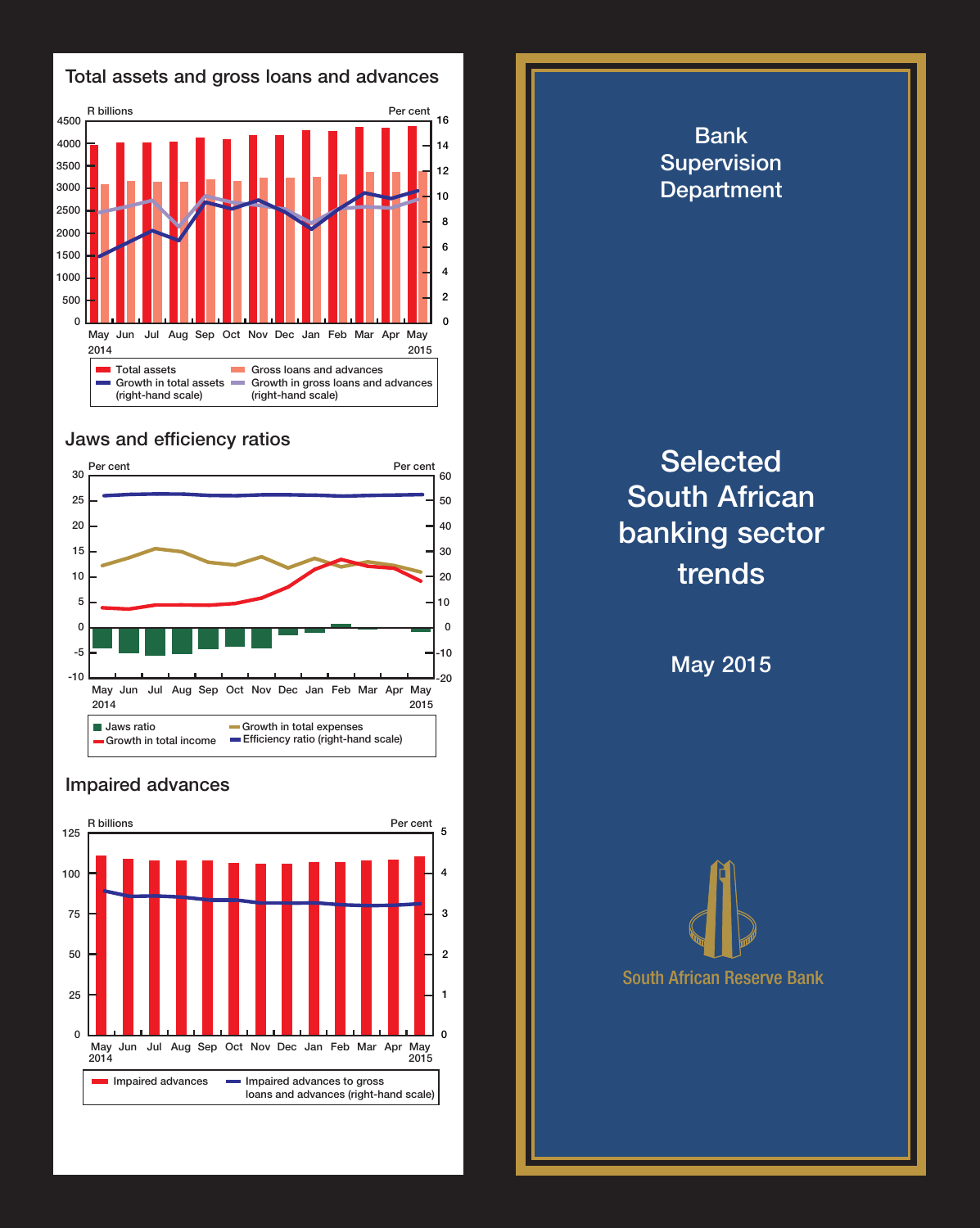

## Jaws and efficiency ratios



## Impaired advances



Bank Supervision **Department Selected** South African banking sector trends